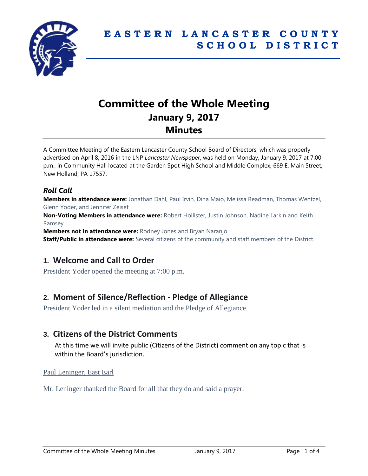

# **Committee of the Whole Meeting January 9, 2017 Minutes**

A Committee Meeting of the Eastern Lancaster County School Board of Directors, which was properly advertised on April 8, 2016 in the LNP *Lancaster Newspaper*, was held on Monday, January 9, 2017 at 7:00 p.m., in Community Hall located at the Garden Spot High School and Middle Complex, 669 E. Main Street, New Holland, PA 17557.

### *Roll Call*

**Members in attendance were:** Jonathan Dahl, Paul Irvin, Dina Maio, Melissa Readman, Thomas Wentzel, Glenn Yoder, and Jennifer Zeiset

**Non-Voting Members in attendance were:** Robert Hollister, Justin Johnson, Nadine Larkin and Keith Ramsey

**Members not in attendance were:** Rodney Jones and Bryan Naranjo

**Staff/Public in attendance were:** Several citizens of the community and staff members of the District.

# **1. Welcome and Call to Order**

President Yoder opened the meeting at 7:00 p.m.

# **2. Moment of Silence/Reflection - Pledge of Allegiance**

President Yoder led in a silent mediation and the Pledge of Allegiance.

### **3. Citizens of the District Comments**

At this time we will invite public (Citizens of the District) comment on any topic that is within the Board's jurisdiction.

#### Paul Leninger, East Earl

Mr. Leninger thanked the Board for all that they do and said a prayer.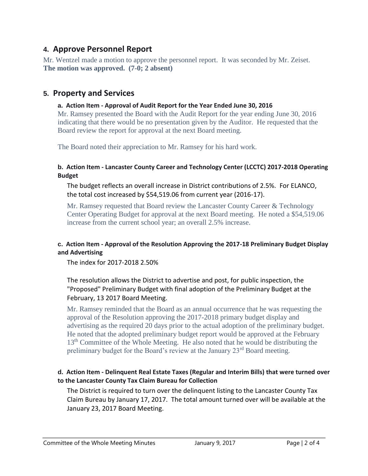# **4. Approve Personnel Report**

Mr. Wentzel made a motion to approve the personnel report. It was seconded by Mr. Zeiset. **The motion was approved. (7-0; 2 absent)**

# **5. Property and Services**

#### **a. Action Item - Approval of Audit Report for the Year Ended June 30, 2016**

Mr. Ramsey presented the Board with the Audit Report for the year ending June 30, 2016 indicating that there would be no presentation given by the Auditor. He requested that the Board review the report for approval at the next Board meeting.

The Board noted their appreciation to Mr. Ramsey for his hard work.

#### **b. Action Item - Lancaster County Career and Technology Center (LCCTC) 2017-2018 Operating Budget**

The budget reflects an overall increase in District contributions of 2.5%. For ELANCO, the total cost increased by \$54,519.06 from current year (2016-17).

Mr. Ramsey requested that Board review the Lancaster County Career & Technology Center Operating Budget for approval at the next Board meeting. He noted a \$54,519.06 increase from the current school year; an overall 2.5% increase.

#### **c. Action Item - Approval of the Resolution Approving the 2017-18 Preliminary Budget Display and Advertising**

The index for 2017-2018 2.50%

#### The resolution allows the District to advertise and post, for public inspection, the "Proposed" Preliminary Budget with final adoption of the Preliminary Budget at the February, 13 2017 Board Meeting.

Mr. Ramsey reminded that the Board as an annual occurrence that he was requesting the approval of the Resolution approving the 2017-2018 primary budget display and advertising as the required 20 days prior to the actual adoption of the preliminary budget. He noted that the adopted preliminary budget report would be approved at the February 13<sup>th</sup> Committee of the Whole Meeting. He also noted that he would be distributing the preliminary budget for the Board's review at the January 23<sup>rd</sup> Board meeting.

#### **d. Action Item - Delinquent Real Estate Taxes (Regular and Interim Bills) that were turned over to the Lancaster County Tax Claim Bureau for Collection**

The District is required to turn over the delinquent listing to the Lancaster County Tax Claim Bureau by January 17, 2017. The total amount turned over will be available at the January 23, 2017 Board Meeting.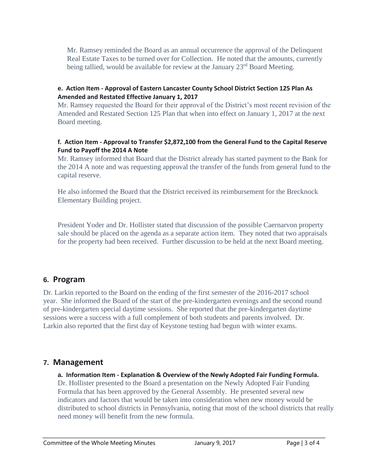Mr. Ramsey reminded the Board as an annual occurrence the approval of the Delinquent Real Estate Taxes to be turned over for Collection. He noted that the amounts, currently being tallied, would be available for review at the January  $23<sup>rd</sup>$  Board Meeting.

#### **e. Action Item - Approval of Eastern Lancaster County School District Section 125 Plan As Amended and Restated Effective January 1, 2017**

Mr. Ramsey requested the Board for their approval of the District's most recent revision of the Amended and Restated Section 125 Plan that when into effect on January 1, 2017 at the next Board meeting.

#### **f. Action Item - Approval to Transfer \$2,872,100 from the General Fund to the Capital Reserve Fund to Payoff the 2014 A Note**

Mr. Ramsey informed that Board that the District already has started payment to the Bank for the 2014 A note and was requesting approval the transfer of the funds from general fund to the capital reserve.

He also informed the Board that the District received its reimbursement for the Brecknock Elementary Building project.

President Yoder and Dr. Hollister stated that discussion of the possible Caernarvon property sale should be placed on the agenda as a separate action item. They noted that two appraisals for the property had been received. Further discussion to be held at the next Board meeting.

# **6. Program**

Dr. Larkin reported to the Board on the ending of the first semester of the 2016-2017 school year. She informed the Board of the start of the pre-kindergarten evenings and the second round of pre-kindergarten special daytime sessions. She reported that the pre-kindergarten daytime sessions were a success with a full complement of both students and parents involved. Dr. Larkin also reported that the first day of Keystone testing had begun with winter exams.

# **7. Management**

**a. Information Item - Explanation & Overview of the Newly Adopted Fair Funding Formula.** Dr. Hollister presented to the Board a presentation on the Newly Adopted Fair Funding Formula that has been approved by the General Assembly. He presented several new indicators and factors that would be taken into consideration when new money would be distributed to school districts in Pennsylvania, noting that most of the school districts that really need money will benefit from the new formula.